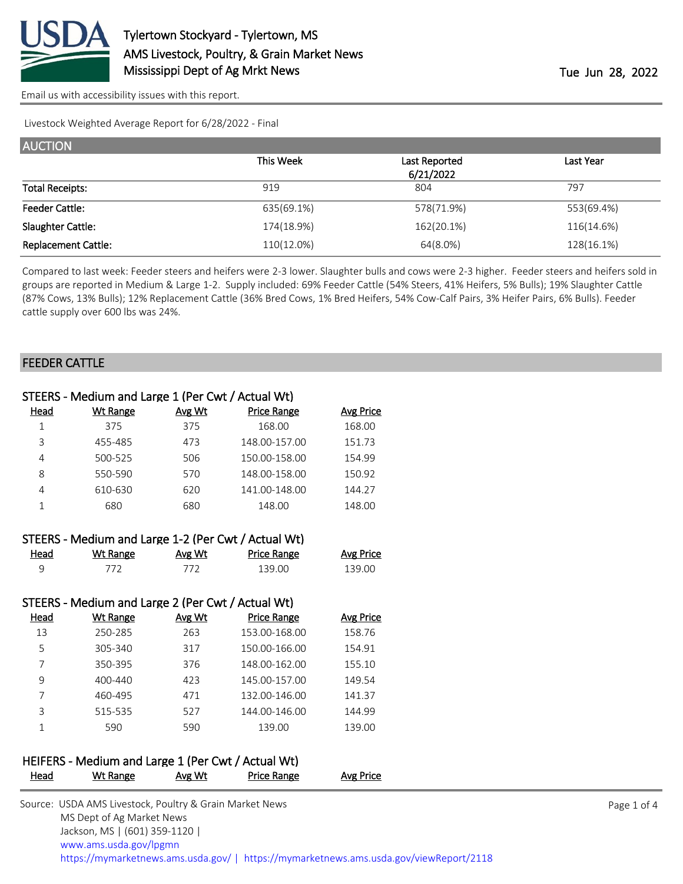

[Email us with accessibility issues with this report.](mailto:mars@ams.usda.gov?subject=508%20issue)

Livestock Weighted Average Report for 6/28/2022 - Final

| <b>AUCTION</b>             |            |               |            |  |  |  |
|----------------------------|------------|---------------|------------|--|--|--|
|                            | This Week  | Last Reported | Last Year  |  |  |  |
|                            |            | 6/21/2022     |            |  |  |  |
| <b>Total Receipts:</b>     | 919        | 804           | 797        |  |  |  |
| <b>Feeder Cattle:</b>      | 635(69.1%) | 578(71.9%)    | 553(69.4%) |  |  |  |
| Slaughter Cattle:          | 174(18.9%) | 162(20.1%)    | 116(14.6%) |  |  |  |
| <b>Replacement Cattle:</b> | 110(12.0%) | 64(8.0%)      | 128(16.1%) |  |  |  |

Compared to last week: Feeder steers and heifers were 2-3 lower. Slaughter bulls and cows were 2-3 higher. Feeder steers and heifers sold in groups are reported in Medium & Large 1-2. Supply included: 69% Feeder Cattle (54% Steers, 41% Heifers, 5% Bulls); 19% Slaughter Cattle (87% Cows, 13% Bulls); 12% Replacement Cattle (36% Bred Cows, 1% Bred Heifers, 54% Cow-Calf Pairs, 3% Heifer Pairs, 6% Bulls). Feeder cattle supply over 600 lbs was 24%.

#### FEEDER CATTLE

|      | STEERS - Medium and Large 1 (Per Cwt / Actual Wt) |        |                    |           |
|------|---------------------------------------------------|--------|--------------------|-----------|
| Head | Wt Range                                          | Avg Wt | <b>Price Range</b> | Avg Price |
|      | 375                                               | 375    | 168.00             | 168.00    |
| 3    | 455-485                                           | 473    | 148.00-157.00      | 151.73    |
| 4    | 500-525                                           | 506    | 150.00-158.00      | 154.99    |
| 8    | 550-590                                           | 570    | 148.00-158.00      | 150.92    |
| 4    | 610-630                                           | 620    | 141.00-148.00      | 144.27    |
|      | 680                                               | 680    | 148.00             | 148.00    |
|      |                                                   |        |                    |           |

|      | STEERS - Medium and Large 1-2 (Per Cwt / Actual Wt) |        |             |                  |
|------|-----------------------------------------------------|--------|-------------|------------------|
| Head | Wt Range                                            | Avg Wt | Price Range | <b>Avg Price</b> |
| Q    | 772                                                 | 772    | 139 OO      | 139.00           |

| STEERS - Medium and Large 2 (Per Cwt / Actual Wt) |                 |        |                    |                  |  |  |
|---------------------------------------------------|-----------------|--------|--------------------|------------------|--|--|
| Head                                              | <b>Wt Range</b> | Avg Wt | <b>Price Range</b> | <b>Avg Price</b> |  |  |
| 13                                                | 250-285         | 263    | 153.00-168.00      | 158.76           |  |  |
| 5                                                 | 305-340         | 317    | 150.00-166.00      | 154.91           |  |  |
|                                                   | 350-395         | 376    | 148.00-162.00      | 155.10           |  |  |
| 9                                                 | $400 - 440$     | 423    | 145.00-157.00      | 149.54           |  |  |
|                                                   | 460-495         | 471    | 132.00-146.00      | 141.37           |  |  |
| 3                                                 | 515-535         | 527    | 144.00-146.00      | 144.99           |  |  |
|                                                   | 590             | 590    | 139.00             | 139.00           |  |  |

### HEIFERS - Medium and Large 1 (Per Cwt / Actual Wt) Head Wt Range Avg Wt Price Range Avg Price

| Source: USDA AMS Livestock, Poultry & Grain Market News                                |
|----------------------------------------------------------------------------------------|
| MS Dept of Ag Market News                                                              |
| Jackson, MS   (601) 359-1120                                                           |
| www.ams.usda.gov/lpgmn                                                                 |
| https://mymarketnews.ams.usda.gov/   https://mymarketnews.ams.usda.gov/viewReport/2118 |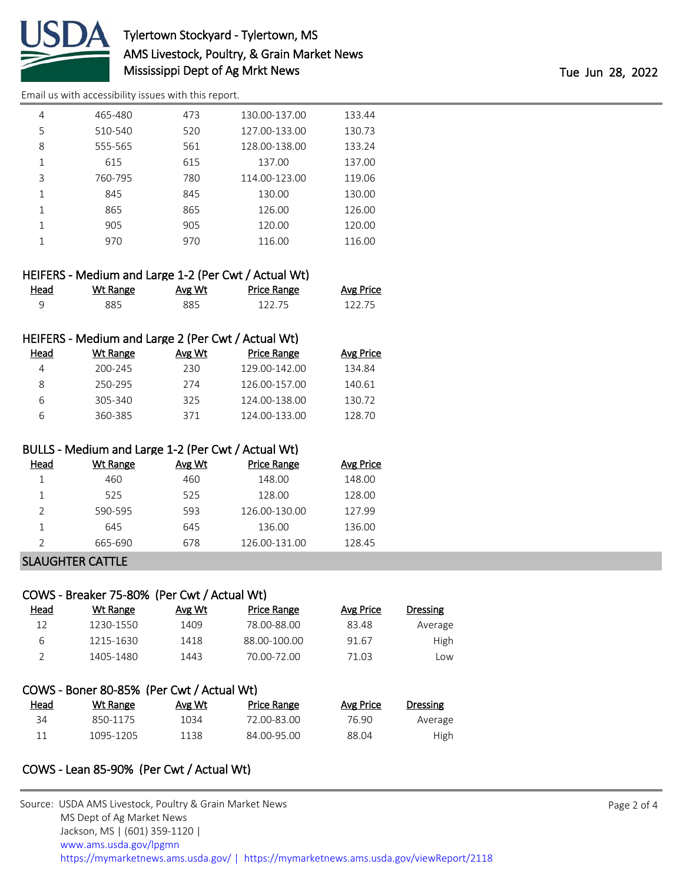

# Tylertown Stockyard - Tylertown, MS AMS Livestock, Poultry, & Grain Market News Mississippi Dept of Ag Mrkt News Tue Jun 28, 2022

[Email us with accessibility issues with this report.](mailto:mars@ams.usda.gov?subject=508%20issue)

| 4 | 465-480 | 473 | 130.00-137.00 | 133.44 |
|---|---------|-----|---------------|--------|
| 5 | 510-540 | 520 | 127.00-133.00 | 130.73 |
| 8 | 555-565 | 561 | 128.00-138.00 | 133.24 |
| 1 | 615     | 615 | 137.00        | 137.00 |
| 3 | 760-795 | 780 | 114.00-123.00 | 119.06 |
| 1 | 845     | 845 | 130.00        | 130.00 |
|   | 865     | 865 | 126.00        | 126.00 |
|   | 905     | 905 | 120.00        | 120.00 |
|   | 970     | 970 | 116.00        | 116.00 |
|   |         |     |               |        |

|      | HEIFERS - Medium and Large 1-2 (Per Cwt / Actual Wt) |        |             |                  |
|------|------------------------------------------------------|--------|-------------|------------------|
| Head | Wt Range                                             | Avg Wt | Price Range | <b>Avg Price</b> |
|      | 885.                                                 | 885    | 122.75      | 122.75           |

### HEIFERS - Medium and Large 2 (Per Cwt / Actual Wt)

| Head | Wt Range | Avg Wt | Price Range   | <b>Avg Price</b> |
|------|----------|--------|---------------|------------------|
| 4    | 200-245  | 230.   | 129.00-142.00 | 134.84           |
| 8    | 250-295  | 274    | 126.00-157.00 | 140.61           |
| 6    | 305-340  | 325    | 124.00-138.00 | 130.72           |
| 6    | 360-385  | 371    | 124.00-133.00 | 128.70           |

#### BULLS - Medium and Large 1-2 (Per Cwt / Actual Wt)

| Head | Wt Range | Avg Wt | Price Range   | Avg Price |
|------|----------|--------|---------------|-----------|
|      | 460      | 460    | 148.00        | 148.00    |
|      | 525      | 525    | 128.00        | 128.00    |
| っ    | 590-595  | 593    | 126.00-130.00 | 127.99    |
|      | 645      | 645    | 136.00        | 136.00    |
|      | 665-690  | 678    | 126.00-131.00 | 128.45    |

### SLAUGHTER CATTLE

# COWS - Breaker 75-80% (Per Cwt / Actual Wt) Head Wt Range Avg Wt Price Range Avg Price Dressing 12 1230-1550 1409 78.00-88.00 83.48 Average 6 1215-1630 1418 88.00-100.00 91.67 High 2 1405-1480 1443 70.00-72.00 71.03 Low

| COWS - Boner 80-85% (Per Cwt / Actual Wt) |           |        |             |           |          |  |  |
|-------------------------------------------|-----------|--------|-------------|-----------|----------|--|--|
| Head                                      | Wt Range  | Avg Wt | Price Range | Avg Price | Dressing |  |  |
| 34                                        | 850-1175  | 1034   | 72.00-83.00 | 76.90     | Average  |  |  |
| 11                                        | 1095-1205 | 1138   | 84.00-95.00 | 88.04     | High     |  |  |

### COWS - Lean 85-90% (Per Cwt / Actual Wt)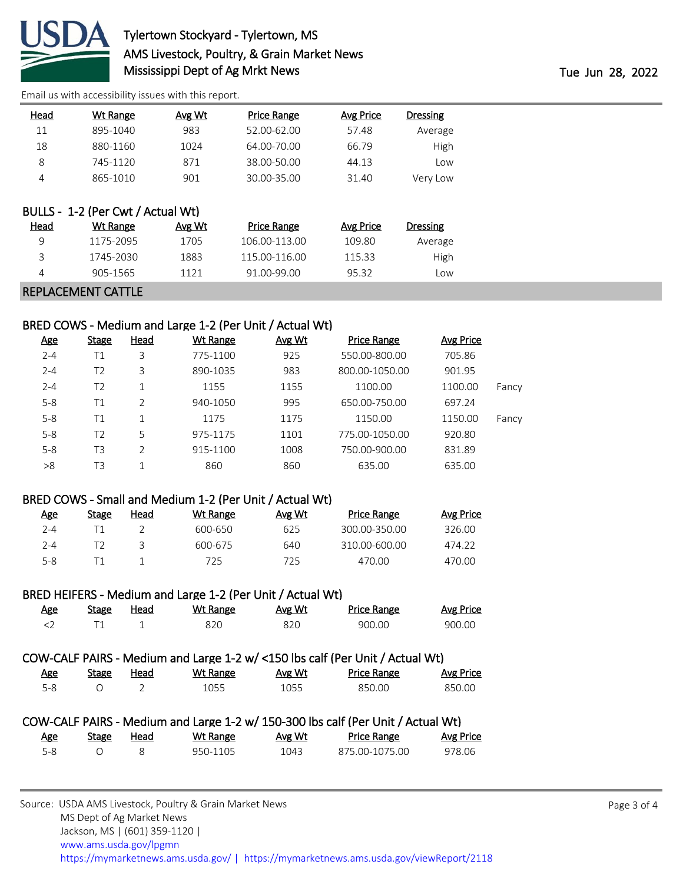

# Tylertown Stockyard - Tylertown, MS AMS Livestock, Poultry, & Grain Market News Mississippi Dept of Ag Mrkt News Tue Jun 28, 2022

[Email us with accessibility issues with this report.](mailto:mars@ams.usda.gov?subject=508%20issue)

| Head | <b>Wt Range</b>                               | Avg Wt | <b>Price Range</b> | <b>Avg Price</b> | <b>Dressing</b> |
|------|-----------------------------------------------|--------|--------------------|------------------|-----------------|
| 11   | 895-1040                                      | 983    | 52.00-62.00        | 57.48            | Average         |
| 18   | 880-1160                                      | 1024   | 64.00-70.00        | 66.79            | High            |
| 8    | 745-1120                                      | 871    | 38.00-50.00        | 44.13            | Low             |
| 4    | 865-1010                                      | 901    | 30.00-35.00        | 31.40            | Very Low        |
| Head | BULLS - 1-2 (Per Cwt / Actual Wt)<br>Wt Range | Avg Wt | Price Range        | <b>Avg Price</b> | <b>Dressing</b> |
| 9    | 1175-2095                                     | 1705   | 106.00-113.00      | 109.80           | Average         |
| 3    | 1745-2030                                     | 1883   | 115.00-116.00      | 115.33           | High            |
| 4    | 905-1565                                      | 1121   | 91.00-99.00        | 95.32            | Low             |
|      | REPLACEMENT CATTLE                            |        |                    |                  |                 |

### BRED COWS - Medium and Large 1-2 (Per Unit / Actual Wt)

| <u>Age</u> | <b>Stage</b>   | Head           | Wt Range | Avg Wt | <b>Price Range</b> | <b>Avg Price</b> |       |
|------------|----------------|----------------|----------|--------|--------------------|------------------|-------|
| $2 - 4$    | Τ1             | 3              | 775-1100 | 925    | 550.00-800.00      | 705.86           |       |
| $2 - 4$    | T <sub>2</sub> | 3              | 890-1035 | 983    | 800.00-1050.00     | 901.95           |       |
| $2 - 4$    | T2             | 1              | 1155     | 1155   | 1100.00            | 1100.00          | Fancy |
| $5 - 8$    | Τ1             | $\overline{2}$ | 940-1050 | 995    | 650.00-750.00      | 697.24           |       |
| $5 - 8$    | Τ1             | 1              | 1175     | 1175   | 1150.00            | 1150.00          | Fancy |
| $5 - 8$    | T2             | 5              | 975-1175 | 1101   | 775.00-1050.00     | 920.80           |       |
| $5 - 8$    | T3             | C              | 915-1100 | 1008   | 750.00-900.00      | 831.89           |       |
| >8         | T3             | 1              | 860      | 860    | 635.00             | 635.00           |       |

#### BRED COWS - Small and Medium 1-2 (Per Unit / Actual Wt)

| <u>Age</u> | Stage | Head | Wt Range | Avg Wt | <b>Price Range</b> | Avg Price |
|------------|-------|------|----------|--------|--------------------|-----------|
| 2-4        |       |      | 600-650  | 625    | 300.00-350.00      | 326.00    |
| 2-4        |       |      | 600-675  | 640    | 310.00-600.00      | 474.22    |
| $5 - 8$    |       |      | 725      | 725.   | 470.00             | 470.00    |

### BRED HEIFERS - Medium and Large 1-2 (Per Unit / Actual Wt)

| Age | Stage | Head | Wt Range | Avg Wt | <b>Price Range</b> | Avg Price |
|-----|-------|------|----------|--------|--------------------|-----------|
|     |       |      |          |        | 900.00             | 900.00    |

### COW-CALF PAIRS - Medium and Large 1-2 w/ <150 lbs calf (Per Unit / Actual Wt)

| Age     | <b>Stage</b> | Head | <b>Wt Range</b> | Avg Wt | <b>Price Range</b> | <b>Avg Price</b> |
|---------|--------------|------|-----------------|--------|--------------------|------------------|
| $5 - 8$ |              |      | 1055            | 1055   | 850.00             | 850.00           |

# COW-CALF PAIRS - Medium and Large 1-2 w/ 150-300 lbs calf (Per Unit / Actual Wt)

| Age | <b>Stage</b> | Head | Wt Range | Avg Wt | <b>Price Range</b> | <b>Avg Price</b> |
|-----|--------------|------|----------|--------|--------------------|------------------|
| 5-8 |              |      | 950-1105 | 1043   | 875.00-1075.00     | 978.06           |